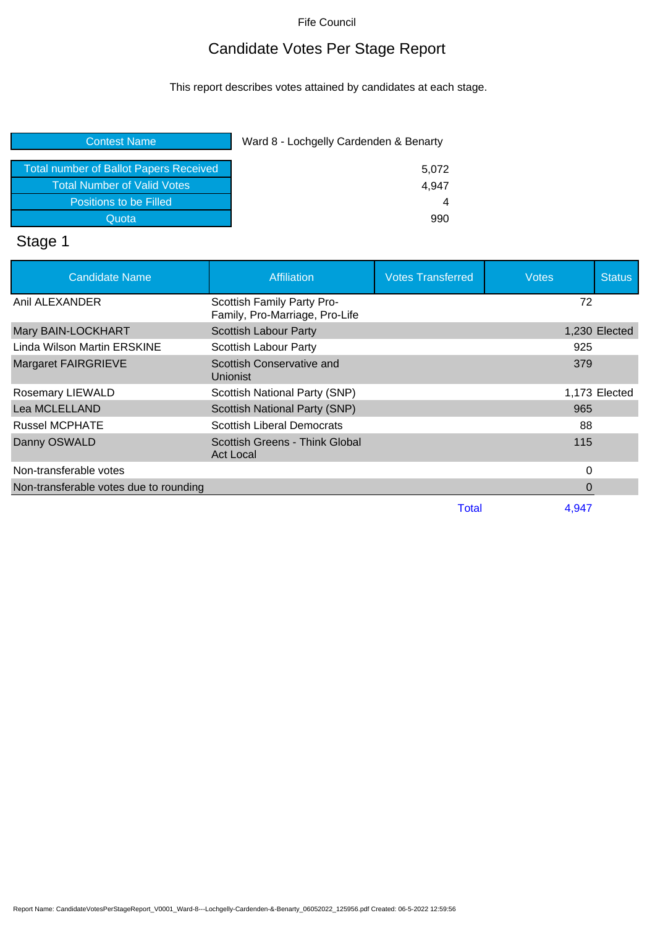Fife Council

## Candidate Votes Per Stage Report

This report describes votes attained by candidates at each stage.

| Ward 8 - Lochgelly Cardenden & Benarty |
|----------------------------------------|
| 5,072                                  |
| 4,947                                  |
| 4                                      |
| 990                                    |
|                                        |

# Stage 1

| <b>Candidate Name</b>                  | <b>Affiliation</b>                                           | <b>Votes Transferred</b> | <b>Votes</b> | <b>Status</b> |
|----------------------------------------|--------------------------------------------------------------|--------------------------|--------------|---------------|
| Anil ALEXANDER                         | Scottish Family Party Pro-<br>Family, Pro-Marriage, Pro-Life |                          | 72           |               |
| Mary BAIN-LOCKHART                     | <b>Scottish Labour Party</b>                                 |                          |              | 1,230 Elected |
| Linda Wilson Martin ERSKINE            | Scottish Labour Party                                        |                          | 925          |               |
| <b>Margaret FAIRGRIEVE</b>             | Scottish Conservative and<br>Unionist                        |                          | 379          |               |
| <b>Rosemary LIEWALD</b>                | Scottish National Party (SNP)                                |                          |              | 1,173 Elected |
| Lea MCLELLAND                          | Scottish National Party (SNP)                                |                          | 965          |               |
| <b>Russel MCPHATE</b>                  | <b>Scottish Liberal Democrats</b>                            |                          | 88           |               |
| Danny OSWALD                           | Scottish Greens - Think Global<br>Act Local                  |                          | 115          |               |
| Non-transferable votes                 |                                                              |                          | 0            |               |
| Non-transferable votes due to rounding |                                                              |                          | 0            |               |
|                                        |                                                              | Total                    | 4.947        |               |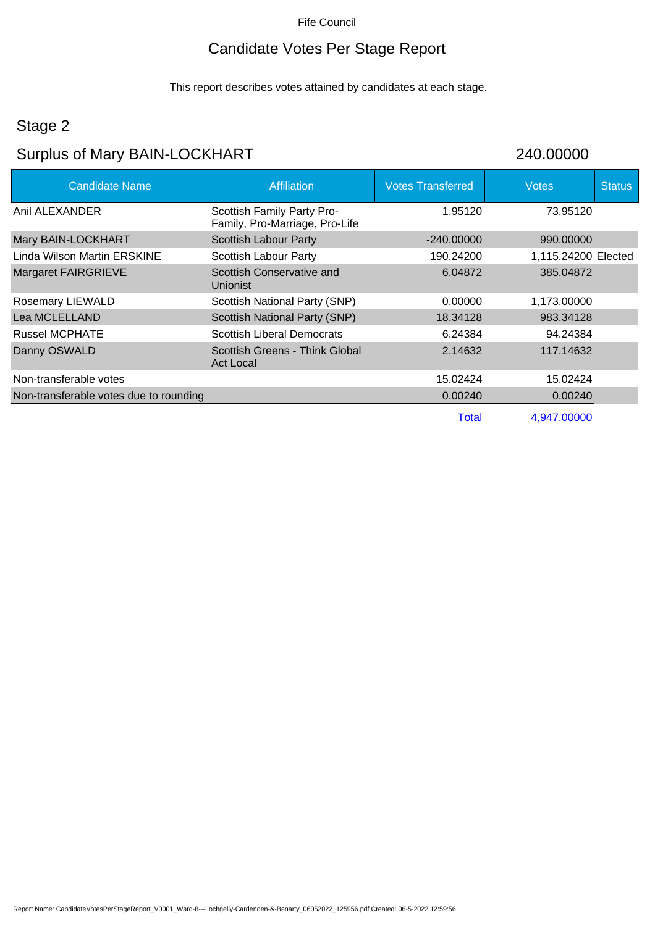#### Fife Council

## Candidate Votes Per Stage Report

This report describes votes attained by candidates at each stage.

#### Stage 2

## Surplus of Mary BAIN-LOCKHART 240.00000

| <b>Candidate Name</b>                  | <b>Affiliation</b>                                           | <b>Votes Transferred</b> | <b>Votes</b>        | <b>Status</b> |
|----------------------------------------|--------------------------------------------------------------|--------------------------|---------------------|---------------|
| Anil ALEXANDER                         | Scottish Family Party Pro-<br>Family, Pro-Marriage, Pro-Life | 1.95120                  | 73.95120            |               |
| Mary BAIN-LOCKHART                     | <b>Scottish Labour Party</b>                                 | $-240.00000$             | 990,00000           |               |
| Linda Wilson Martin ERSKINE            | Scottish Labour Party                                        | 190.24200                | 1,115.24200 Elected |               |
| Margaret FAIRGRIEVE                    | Scottish Conservative and<br><b>Unionist</b>                 | 6.04872                  | 385.04872           |               |
| <b>Rosemary LIEWALD</b>                | Scottish National Party (SNP)                                | 0.00000                  | 1,173.00000         |               |
| Lea MCLELLAND                          | Scottish National Party (SNP)                                | 18.34128                 | 983.34128           |               |
| <b>Russel MCPHATE</b>                  | <b>Scottish Liberal Democrats</b>                            | 6.24384                  | 94.24384            |               |
| Danny OSWALD                           | Scottish Greens - Think Global<br><b>Act Local</b>           | 2.14632                  | 117.14632           |               |
| Non-transferable votes                 |                                                              | 15.02424                 | 15.02424            |               |
| Non-transferable votes due to rounding |                                                              | 0.00240                  | 0.00240             |               |
|                                        |                                                              | <b>Total</b>             | 4,947.00000         |               |